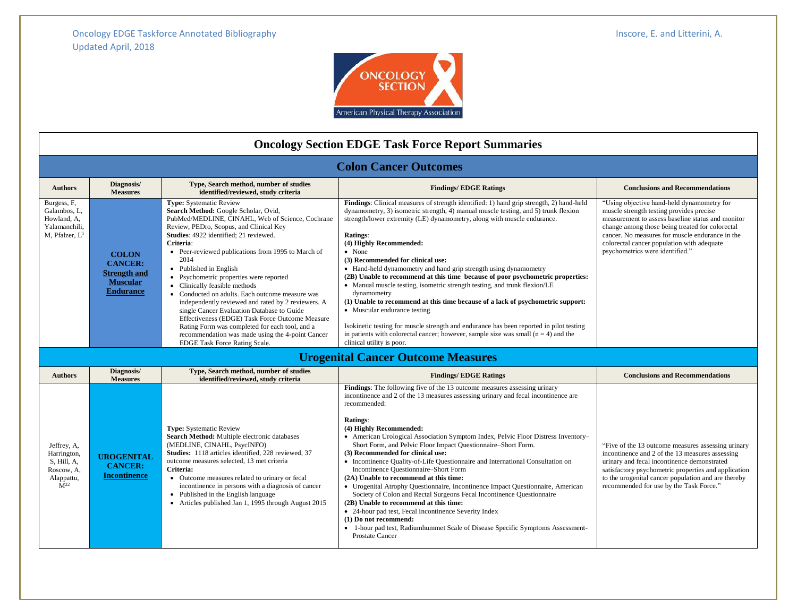

| <b>Oncology Section EDGE Task Force Report Summaries</b>                                         |                                                                                       |                                                                                                                                                                                                                                                                                                                                                                                                                                                                                                                                                                                                                                                                                                                                                   |                                                                                                                                                                                                                                                                                                                                                                                                                                                                                                                                                                                                                                                                                                                                                                                                                                                                                                                                                                                     |                                                                                                                                                                                                                                                                                                                                    |  |  |
|--------------------------------------------------------------------------------------------------|---------------------------------------------------------------------------------------|---------------------------------------------------------------------------------------------------------------------------------------------------------------------------------------------------------------------------------------------------------------------------------------------------------------------------------------------------------------------------------------------------------------------------------------------------------------------------------------------------------------------------------------------------------------------------------------------------------------------------------------------------------------------------------------------------------------------------------------------------|-------------------------------------------------------------------------------------------------------------------------------------------------------------------------------------------------------------------------------------------------------------------------------------------------------------------------------------------------------------------------------------------------------------------------------------------------------------------------------------------------------------------------------------------------------------------------------------------------------------------------------------------------------------------------------------------------------------------------------------------------------------------------------------------------------------------------------------------------------------------------------------------------------------------------------------------------------------------------------------|------------------------------------------------------------------------------------------------------------------------------------------------------------------------------------------------------------------------------------------------------------------------------------------------------------------------------------|--|--|
| <b>Colon Cancer Outcomes</b>                                                                     |                                                                                       |                                                                                                                                                                                                                                                                                                                                                                                                                                                                                                                                                                                                                                                                                                                                                   |                                                                                                                                                                                                                                                                                                                                                                                                                                                                                                                                                                                                                                                                                                                                                                                                                                                                                                                                                                                     |                                                                                                                                                                                                                                                                                                                                    |  |  |
| <b>Authors</b>                                                                                   | Diagnosis/<br><b>Measures</b>                                                         | <b>Conclusions and Recommendations</b>                                                                                                                                                                                                                                                                                                                                                                                                                                                                                                                                                                                                                                                                                                            |                                                                                                                                                                                                                                                                                                                                                                                                                                                                                                                                                                                                                                                                                                                                                                                                                                                                                                                                                                                     |                                                                                                                                                                                                                                                                                                                                    |  |  |
| Burgess, F.<br>Galambos, L.<br>Howland, A,<br>Yalamanchili,<br>M, Pfalzer, L                     | <b>COLON</b><br><b>CANCER:</b><br>Strength and<br><b>Muscular</b><br><b>Endurance</b> | <b>Type:</b> Systematic Review<br>Search Method: Google Scholar, Ovid,<br>PubMed/MEDLINE, CINAHL, Web of Science, Cochrane<br>Review, PEDro, Scopus, and Clinical Key<br>Studies: 4922 identified; 21 reviewed.<br>Criteria:<br>• Peer-reviewed publications from 1995 to March of<br>2014<br>• Published in English<br>• Psychometric properties were reported<br>• Clinically feasible methods<br>• Conducted on adults. Each outcome measure was<br>independently reviewed and rated by 2 reviewers. A<br>single Cancer Evaluation Database to Guide<br>Effectiveness (EDGE) Task Force Outcome Measure<br>Rating Form was completed for each tool, and a<br>recommendation was made using the 4-point Cancer<br>EDGE Task Force Rating Scale. | <b>Findings:</b> Clinical measures of strength identified: 1) hand grip strength, 2) hand-held<br>dynamometry, 3) isometric strength, 4) manual muscle testing, and 5) trunk flexion<br>strength/lower extremity (LE) dynamometry, along with muscle endurance.<br>Ratings:<br>(4) Highly Recommended:<br>• None<br>(3) Recommended for clinical use:<br>• Hand-held dynamometry and hand grip strength using dynamometry<br>(2B) Unable to recommend at this time because of poor psychometric properties:<br>• Manual muscle testing, isometric strength testing, and trunk flexion/LE<br>dynamometry<br>(1) Unable to recommend at this time because of a lack of psychometric support:<br>• Muscular endurance testing<br>Isokinetic testing for muscle strength and endurance has been reported in pilot testing<br>in patients with colorectal cancer; however, sample size was small $(n = 4)$ and the<br>clinical utility is poor.                                          | "Using objective hand-held dynamometry for<br>muscle strength testing provides precise<br>measurement to assess baseline status and monitor<br>change among those being treated for colorectal<br>cancer. No measures for muscle endurance in the<br>colorectal cancer population with adequate<br>psychometrics were identified." |  |  |
|                                                                                                  |                                                                                       |                                                                                                                                                                                                                                                                                                                                                                                                                                                                                                                                                                                                                                                                                                                                                   | <b>Urogenital Cancer Outcome Measures</b>                                                                                                                                                                                                                                                                                                                                                                                                                                                                                                                                                                                                                                                                                                                                                                                                                                                                                                                                           |                                                                                                                                                                                                                                                                                                                                    |  |  |
| <b>Authors</b>                                                                                   | Diagnosis/<br><b>Measures</b>                                                         | Type, Search method, number of studies<br>identified/reviewed, study criteria                                                                                                                                                                                                                                                                                                                                                                                                                                                                                                                                                                                                                                                                     | <b>Findings/EDGE Ratings</b>                                                                                                                                                                                                                                                                                                                                                                                                                                                                                                                                                                                                                                                                                                                                                                                                                                                                                                                                                        | <b>Conclusions and Recommendations</b>                                                                                                                                                                                                                                                                                             |  |  |
| Jeffrey, A,<br>Harrington,<br>S, Hill, A.<br>Roscow, A,<br>Alappattu,<br>$\mathbf{\hat{M}}^{22}$ | <b>UROGENITAL</b><br><b>CANCER:</b><br><b>Incontinence</b>                            | <b>Type:</b> Systematic Review<br>Search Method: Multiple electronic databases<br>(MEDLINE, CINAHL, PsycINFO)<br>Studies: 1118 articles identified, 228 reviewed, 37<br>outcome measures selected, 13 met criteria<br>Criteria:<br>• Outcome measures related to urinary or fecal<br>incontinence in persons with a diagnosis of cancer<br>• Published in the English language<br>• Articles published Jan 1, 1995 through August 2015                                                                                                                                                                                                                                                                                                            | Findings: The following five of the 13 outcome measures assessing urinary<br>incontinence and 2 of the 13 measures assessing urinary and fecal incontinence are<br>recommended:<br>Ratings:<br>(4) Highly Recommended:<br>• American Urological Association Symptom Index, Pelvic Floor Distress Inventory-<br>Short Form, and Pelvic Floor Impact Questionnaire–Short Form.<br>(3) Recommended for clinical use:<br>• Incontinence Quality-of-Life Questionnaire and International Consultation on<br>Incontinence Ouestionnaire–Short Form<br>(2A) Unable to recommend at this time:<br>• Urogenital Atrophy Questionnaire, Incontinence Impact Questionnaire, American<br>Society of Colon and Rectal Surgeons Fecal Incontinence Questionnaire<br>(2B) Unable to recommend at this time:<br>• 24-hour pad test, Fecal Incontinence Severity Index<br>(1) Do not recommend:<br>• 1-hour pad test, Radiumhummet Scale of Disease Specific Symptoms Assessment-<br>Prostate Cancer | "Five of the 13 outcome measures assessing urinary<br>incontinence and 2 of the 13 measures assessing<br>urinary and fecal incontinence demonstrated<br>satisfactory psychometric properties and application<br>to the urogenital cancer population and are thereby<br>recommended for use by the Task Force."                     |  |  |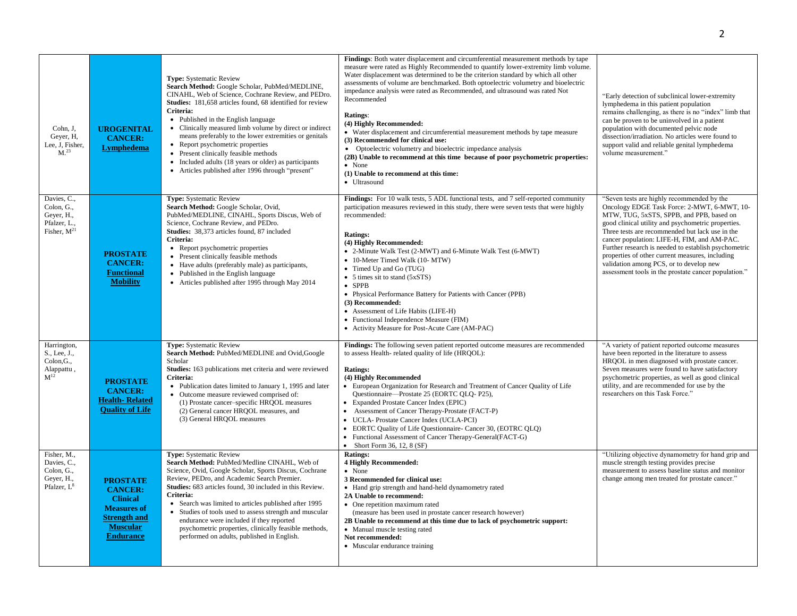| Cohn, J.<br>Gever, H.<br>Lee, J, Fisher,<br>M <sup>23</sup>              | <b>UROGENITAL</b><br><b>CANCER:</b><br>Lymphedema                                                                                        | <b>Type:</b> Systematic Review<br>Search Method: Google Scholar, PubMed/MEDLINE,<br>CINAHL, Web of Science, Cochrane Review, and PEDro.<br>Studies: 181,658 articles found, 68 identified for review<br>Criteria:<br>• Published in the English language<br>• Clinically measured limb volume by direct or indirect<br>means preferably to the lower extremities or genitals<br>• Report psychometric properties<br>• Present clinically feasible methods<br>• Included adults (18 years or older) as participants<br>• Articles published after 1996 through "present" | Findings: Both water displacement and circumferential measurement methods by tape<br>measure were rated as Highly Recommended to quantify lower-extremity limb volume.<br>Water displacement was determined to be the criterion standard by which all other<br>assessments of volume are benchmarked. Both optoelectric volumetry and bioelectric<br>impedance analysis were rated as Recommended, and ultrasound was rated Not<br>Recommended<br>Ratings:<br>(4) Highly Recommended:<br>• Water displacement and circumferential measurement methods by tape measure<br>(3) Recommended for clinical use:<br>• Optoelectric volumetry and bioelectric impedance analysis<br>(2B) Unable to recommend at this time because of poor psychometric properties:<br>• None<br>(1) Unable to recommend at this time:<br>• Ultrasound | "Early detection of subclinical lower-extremity<br>lymphedema in this patient population<br>remains challenging, as there is no "index" limb that<br>can be proven to be uninvolved in a patient<br>population with documented pelvic node<br>dissection/irradiation. No articles were found to<br>support valid and reliable genital lymphedema<br>volume measurement."                                                                                                                                    |
|--------------------------------------------------------------------------|------------------------------------------------------------------------------------------------------------------------------------------|-------------------------------------------------------------------------------------------------------------------------------------------------------------------------------------------------------------------------------------------------------------------------------------------------------------------------------------------------------------------------------------------------------------------------------------------------------------------------------------------------------------------------------------------------------------------------|--------------------------------------------------------------------------------------------------------------------------------------------------------------------------------------------------------------------------------------------------------------------------------------------------------------------------------------------------------------------------------------------------------------------------------------------------------------------------------------------------------------------------------------------------------------------------------------------------------------------------------------------------------------------------------------------------------------------------------------------------------------------------------------------------------------------------------|-------------------------------------------------------------------------------------------------------------------------------------------------------------------------------------------------------------------------------------------------------------------------------------------------------------------------------------------------------------------------------------------------------------------------------------------------------------------------------------------------------------|
| Davies, C.,<br>Colon, G.,<br>Geyer, H.,<br>Pfalzer, L.,<br>Fisher, $M21$ | <b>PROSTATE</b><br><b>CANCER:</b><br><b>Functional</b><br><b>Mobility</b>                                                                | <b>Type:</b> Systematic Review<br>Search Method: Google Scholar, Ovid,<br>PubMed/MEDLINE, CINAHL, Sports Discus, Web of<br>Science, Cochrane Review, and PEDro.<br><b>Studies:</b> 38,373 articles found, 87 included<br>Criteria:<br>• Report psychometric properties<br>• Present clinically feasible methods<br>• Have adults (preferably male) as participants,<br>• Published in the English language<br>• Articles published after 1995 through May 2014                                                                                                          | Findings: For 10 walk tests, 5 ADL functional tests, and 7 self-reported community<br>participation measures reviewed in this study, there were seven tests that were highly<br>recommended:<br><b>Ratings:</b><br>(4) Highly Recommended:<br>• 2-Minute Walk Test (2-MWT) and 6-Minute Walk Test (6-MWT)<br>• 10-Meter Timed Walk (10- MTW)<br>• Timed Up and Go (TUG)<br>• 5 times sit to stand (5xSTS)<br>$\bullet$ SPPB<br>• Physical Performance Battery for Patients with Cancer (PPB)<br>(3) Recommended:<br>• Assessment of Life Habits (LIFE-H)<br>• Functional Independence Measure (FIM)<br>• Activity Measure for Post-Acute Care (AM-PAC)                                                                                                                                                                         | "Seven tests are highly recommended by the<br>Oncology EDGE Task Force: 2-MWT, 6-MWT, 10-<br>MTW, TUG, 5xSTS, SPPB, and PPB, based on<br>good clinical utility and psychometric properties.<br>Three tests are recommended but lack use in the<br>cancer population: LIFE-H, FIM, and AM-PAC.<br>Further research is needed to establish psychometric<br>properties of other current measures, including<br>validation among PCS, or to develop new<br>assessment tools in the prostate cancer population." |
| Harrington,<br>S., Lee, J.,<br>Colon, G.,<br>Alappattu,<br>$M^{12}$      | <b>PROSTATE</b><br><b>CANCER:</b><br>Health-Related<br><b>Quality of Life</b>                                                            | <b>Type:</b> Systematic Review<br>Search Method: PubMed/MEDLINE and Ovid, Google<br>Scholar<br>Studies: 163 publications met criteria and were reviewed<br>Criteria:<br>• Publication dates limited to January 1, 1995 and later<br>• Outcome measure reviewed comprised of:<br>(1) Prostate cancer-specific HRQOL measures<br>(2) General cancer HRQOL measures, and<br>(3) General HRQOL measures                                                                                                                                                                     | Findings: The following seven patient reported outcome measures are recommended<br>to assess Health-related quality of life (HRQOL):<br><b>Ratings:</b><br>(4) Highly Recommended<br>• European Organization for Research and Treatment of Cancer Quality of Life<br>Questionnaire-Prostate 25 (EORTC QLQ-P25),<br>• Expanded Prostate Cancer Index (EPIC)<br>• Assessment of Cancer Therapy-Prostate (FACT-P)<br>• UCLA-Prostate Cancer Index (UCLA-PCI)<br>• EORTC Quality of Life Questionnaire- Cancer 30, (EOTRC QLQ)<br>• Functional Assessment of Cancer Therapy-General(FACT-G)<br>• Short Form 36, 12, 8 $(SF)$                                                                                                                                                                                                       | "A variety of patient reported outcome measures<br>have been reported in the literature to assess<br>HRQOL in men diagnosed with prostate cancer.<br>Seven measures were found to have satisfactory<br>psychometric properties, as well as good clinical<br>utility, and are recommended for use by the<br>researchers on this Task Force."                                                                                                                                                                 |
| Fisher, M.,<br>Davies, C.,<br>Colon, G.,<br>Geyer, H.,<br>Pfalzer, $L^8$ | <b>PROSTATE</b><br><b>CANCER:</b><br><b>Clinical</b><br><b>Measures of</b><br><b>Strength and</b><br><b>Muscular</b><br><b>Endurance</b> | Type: Systematic Review<br>Search Method: PubMed/Medline CINAHL, Web of<br>Science, Ovid, Google Scholar, Sports Discus, Cochrane<br>Review, PEDro, and Academic Search Premier.<br>Studies: 683 articles found, 30 included in this Review.<br>Criteria:<br>• Search was limited to articles published after 1995<br>• Studies of tools used to assess strength and muscular<br>endurance were included if they reported<br>psychometric properties, clinically feasible methods,<br>performed on adults, published in English.                                        | <b>Ratings:</b><br><b>4 Highly Recommended:</b><br>• None<br>3 Recommended for clinical use:<br>• Hand grip strength and hand-held dynamometry rated<br>2A Unable to recommend:<br>• One repetition maximum rated<br>(measure has been used in prostate cancer research however)<br>2B Unable to recommend at this time due to lack of psychometric support:<br>• Manual muscle testing rated<br>Not recommended:<br>• Muscular endurance training                                                                                                                                                                                                                                                                                                                                                                             | "Utilizing objective dynamometry for hand grip and<br>muscle strength testing provides precise<br>measurement to assess baseline status and monitor<br>change among men treated for prostate cancer."                                                                                                                                                                                                                                                                                                       |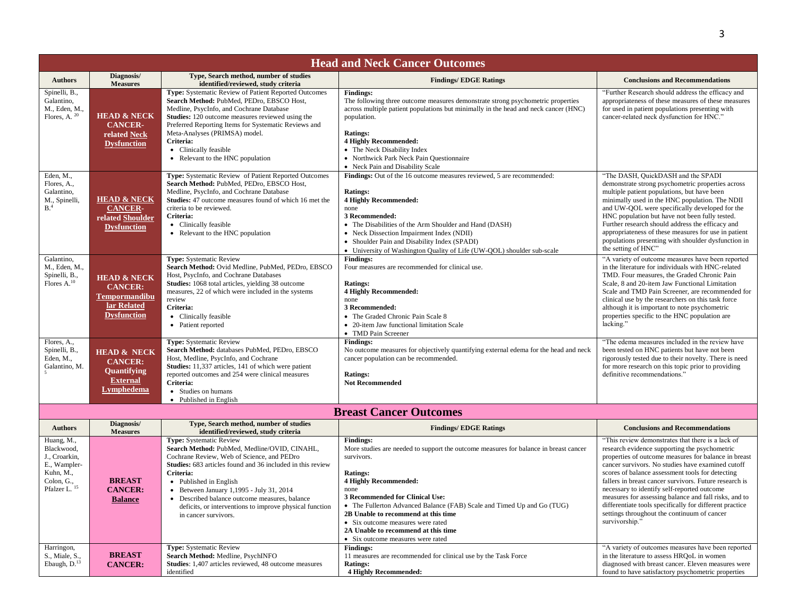| <b>Head and Neck Cancer Outcomes</b>                                                                             |                                                                                                       |                                                                                                                                                                                                                                                                                                                                                                                                                     |                                                                                                                                                                                                                                                                                                                                                                                                                                                        |                                                                                                                                                                                                                                                                                                                                                                                                                                                                                                                                                                   |  |
|------------------------------------------------------------------------------------------------------------------|-------------------------------------------------------------------------------------------------------|---------------------------------------------------------------------------------------------------------------------------------------------------------------------------------------------------------------------------------------------------------------------------------------------------------------------------------------------------------------------------------------------------------------------|--------------------------------------------------------------------------------------------------------------------------------------------------------------------------------------------------------------------------------------------------------------------------------------------------------------------------------------------------------------------------------------------------------------------------------------------------------|-------------------------------------------------------------------------------------------------------------------------------------------------------------------------------------------------------------------------------------------------------------------------------------------------------------------------------------------------------------------------------------------------------------------------------------------------------------------------------------------------------------------------------------------------------------------|--|
| <b>Authors</b>                                                                                                   | Diagnosis/<br><b>Measures</b>                                                                         | Type, Search method, number of studies<br>identified/reviewed, study criteria                                                                                                                                                                                                                                                                                                                                       | <b>Findings/EDGE Ratings</b>                                                                                                                                                                                                                                                                                                                                                                                                                           | <b>Conclusions and Recommendations</b>                                                                                                                                                                                                                                                                                                                                                                                                                                                                                                                            |  |
| Spinelli, B.,<br>Galantino,<br>M., Eden, M.,<br>Flores, A. <sup>20</sup>                                         | <b>HEAD &amp; NECK</b><br><b>CANCER-</b><br>related Neck<br><b>Dysfunction</b>                        | Type: Systematic Review of Patient Reported Outcomes<br>Search Method: PubMed, PEDro, EBSCO Host,<br>Medline, PsycInfo, and Cochrane Database<br><b>Studies:</b> 120 outcome measures reviewed using the<br>Preferred Reporting Items for Systematic Reviews and<br>Meta-Analyses (PRIMSA) model.<br>Criteria:<br>• Clinically feasible<br>• Relevant to the HNC population                                         | <b>Findings:</b><br>The following three outcome measures demonstrate strong psychometric properties<br>across multiple patient populations but minimally in the head and neck cancer (HNC)<br>population.<br><b>Ratings:</b><br><b>4 Highly Recommended:</b><br>• The Neck Disability Index<br>• Northwick Park Neck Pain Questionnaire<br>• Neck Pain and Disability Scale                                                                            | "Further Research should address the efficacy and<br>appropriateness of these measures of these measures<br>for used in patient populations presenting with<br>cancer-related neck dysfunction for HNC."                                                                                                                                                                                                                                                                                                                                                          |  |
| Eden, M.,<br>Flores, A.,<br>Galantino,<br>M., Spinelli,<br>B. <sup>4</sup>                                       | <b>HEAD &amp; NECK</b><br><b>CANCER-</b><br>related Shoulder<br><b>Dysfunction</b>                    | Type: Systematic Review of Patient Reported Outcomes<br>Search Method: PubMed, PEDro, EBSCO Host,<br>Medline, PsycInfo, and Cochrane Database<br><b>Studies:</b> 47 outcome measures found of which 16 met the<br>criteria to be reviewed.<br>Criteria:<br>• Clinically feasible<br>• Relevant to the HNC population                                                                                                | Findings: Out of the 16 outcome measures reviewed, 5 are recommended:<br><b>Ratings:</b><br><b>4 Highly Recommended:</b><br>none<br>3 Recommended:<br>• The Disabilities of the Arm Shoulder and Hand (DASH)<br>• Neck Dissection Impairment Index (NDII)<br>• Shoulder Pain and Disability Index (SPADI)<br>• University of Washington Quality of Life (UW-QOL) shoulder sub-scale                                                                    | "The DASH, QuickDASH and the SPADI<br>demonstrate strong psychometric properties across<br>multiple patient populations, but have been<br>minimally used in the HNC population. The NDII<br>and UW-QOL were specifically developed for the<br>HNC population but have not been fully tested.<br>Further research should address the efficacy and<br>appropriateness of these measures for use in patient<br>populations presenting with shoulder dysfunction in<br>the setting of HNC"                                                                            |  |
| Galantino.<br>M., Eden, M.,<br>Spinelli, B.,<br>Flores A. <sup>10</sup>                                          | <b>HEAD &amp; NECK</b><br><b>CANCER:</b><br><b>Tempormandibu</b><br>lar Related<br><b>Dysfunction</b> | <b>Type:</b> Systematic Review<br>Search Method: Ovid Medline, PubMed, PEDro, EBSCO<br>Host, PsycInfo, and Cochrane Databases<br>Studies: 1068 total articles, yielding 38 outcome<br>measures, 22 of which were included in the systems<br>review<br>Criteria:<br>• Clinically feasible<br>• Patient reported                                                                                                      | <b>Findings:</b><br>Four measures are recommended for clinical use.<br><b>Ratings:</b><br><b>4 Highly Recommended:</b><br>none<br>3 Recommended:<br>• The Graded Chronic Pain Scale 8<br>• 20-item Jaw functional limitation Scale<br>• TMD Pain Screener                                                                                                                                                                                              | "A variety of outcome measures have been reported<br>in the literature for individuals with HNC-related<br>TMD. Four measures, the Graded Chronic Pain<br>Scale, 8 and 20-item Jaw Functional Limitation<br>Scale and TMD Pain Screener, are recommended for<br>clinical use by the researchers on this task force<br>although it is important to note psychometric<br>properties specific to the HNC population are<br>lacking."                                                                                                                                 |  |
| Flores, A.,<br>Spinelli, B.,<br>Eden, M.,<br>Galantino, M.                                                       | <b>HEAD &amp; NECK</b><br><b>CANCER:</b><br>Quantifying<br><b>External</b><br><b>Lymphedema</b>       | <b>Type:</b> Systematic Review<br>Search Method: databases PubMed, PEDro, EBSCO<br>Host, Medline, PsycInfo, and Cochrane<br><b>Studies:</b> 11,337 articles, 141 of which were patient<br>reported outcomes and 254 were clinical measures<br>Criteria:<br>• Studies on humans<br>• Published in English                                                                                                            | <b>Findings:</b><br>No outcome measures for objectively quantifying external edema for the head and neck<br>cancer population can be recommended.<br><b>Ratings:</b><br><b>Not Recommended</b>                                                                                                                                                                                                                                                         | "The edema measures included in the review have<br>been tested on HNC patients but have not been<br>rigorously tested due to their novelty. There is need<br>for more research on this topic prior to providing<br>definitive recommendations."                                                                                                                                                                                                                                                                                                                   |  |
|                                                                                                                  |                                                                                                       |                                                                                                                                                                                                                                                                                                                                                                                                                     | <b>Breast Cancer Outcomes</b>                                                                                                                                                                                                                                                                                                                                                                                                                          |                                                                                                                                                                                                                                                                                                                                                                                                                                                                                                                                                                   |  |
| <b>Authors</b>                                                                                                   | Diagnosis/<br><b>Measures</b>                                                                         | Type, Search method, number of studies<br>identified/reviewed, study criteria                                                                                                                                                                                                                                                                                                                                       | <b>Findings/EDGE Ratings</b>                                                                                                                                                                                                                                                                                                                                                                                                                           | <b>Conclusions and Recommendations</b>                                                                                                                                                                                                                                                                                                                                                                                                                                                                                                                            |  |
| Huang, M.,<br>Blackwood,<br>J., Croarkin,<br>E., Wampler-<br>Kuhn, M.,<br>Colon, G.,<br>Pfalzer L. <sup>15</sup> | <b>BREAST</b><br><b>CANCER:</b><br><b>Balance</b>                                                     | <b>Type:</b> Systematic Review<br>Search Method: PubMed, Medline/OVID, CINAHL,<br>Cochrane Review, Web of Science, and PEDro<br>Studies: 683 articles found and 36 included in this review<br>Criteria:<br>• Published in English<br>• Between January $1,1995$ - July 31, 2014<br>• Described balance outcome measures, balance<br>deficits, or interventions to improve physical function<br>in cancer survivors. | <b>Findings:</b><br>More studies are needed to support the outcome measures for balance in breast cancer<br>survivors.<br><b>Ratings:</b><br><b>4 Highly Recommended:</b><br>none<br>3 Recommended for Clinical Use:<br>• The Fullerton Advanced Balance (FAB) Scale and Timed Up and Go (TUG)<br>2B Unable to recommend at this time<br>• Six outcome measures were rated<br>2A Unable to recommend at this time<br>• Six outcome measures were rated | "This review demonstrates that there is a lack of<br>research evidence supporting the psychometric<br>properties of outcome measures for balance in breast<br>cancer survivors. No studies have examined cutoff<br>scores of balance assessment tools for detecting<br>fallers in breast cancer survivors. Future research is<br>necessary to identify self-reported outcome<br>measures for assessing balance and fall risks, and to<br>differentiate tools specifically for different practice<br>settings throughout the continuum of cancer<br>survivorship." |  |
| Harringon,<br>S., Miale, S.<br>Ebaugh, D. <sup>13</sup>                                                          | <b>BREAST</b><br><b>CANCER:</b>                                                                       | Type: Systematic Review<br>Search Method: Medline, PsychINFO<br><b>Studies:</b> 1,407 articles reviewed, 48 outcome measures<br>identified                                                                                                                                                                                                                                                                          | <b>Findings:</b><br>11 measures are recommended for clinical use by the Task Force<br><b>Ratings:</b><br>4 Highly Recommended:                                                                                                                                                                                                                                                                                                                         | "A variety of outcomes measures have been reported<br>in the literature to assess HRQoL in women<br>diagnosed with breast cancer. Eleven measures were<br>found to have satisfactory psychometric properties                                                                                                                                                                                                                                                                                                                                                      |  |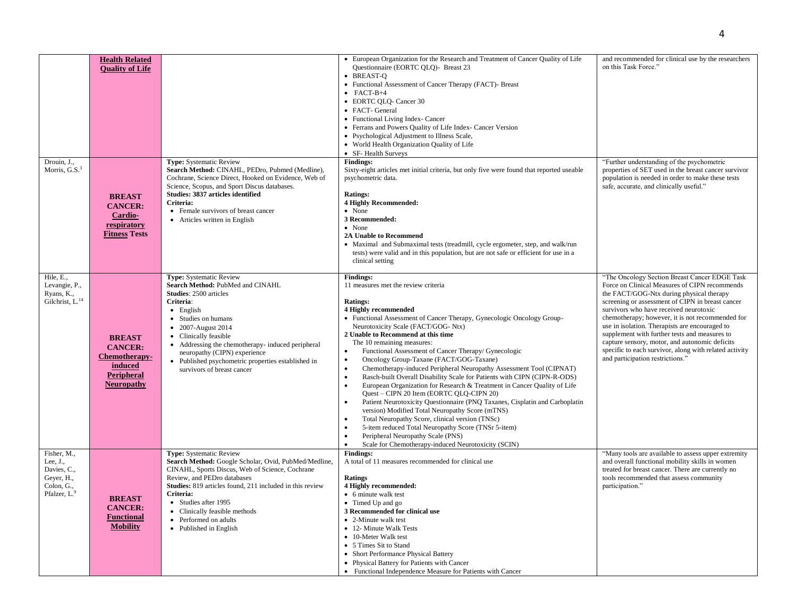|                                                                                                |                                                                                                |                                                                                                                                                                                                                                                                                                                                                                               | • European Organization for the Research and Treatment of Cancer Quality of Life                                                                                                                                                                                                                                                                                                                                                                                                                                                                                                                                                                                                                                                                                                                                                                                                                                                                                                                                                                                                           | and recommended for clinical use by the researchers                                                                                                                                                                                                                                                                                                                                                                                                                                                                                             |
|------------------------------------------------------------------------------------------------|------------------------------------------------------------------------------------------------|-------------------------------------------------------------------------------------------------------------------------------------------------------------------------------------------------------------------------------------------------------------------------------------------------------------------------------------------------------------------------------|--------------------------------------------------------------------------------------------------------------------------------------------------------------------------------------------------------------------------------------------------------------------------------------------------------------------------------------------------------------------------------------------------------------------------------------------------------------------------------------------------------------------------------------------------------------------------------------------------------------------------------------------------------------------------------------------------------------------------------------------------------------------------------------------------------------------------------------------------------------------------------------------------------------------------------------------------------------------------------------------------------------------------------------------------------------------------------------------|-------------------------------------------------------------------------------------------------------------------------------------------------------------------------------------------------------------------------------------------------------------------------------------------------------------------------------------------------------------------------------------------------------------------------------------------------------------------------------------------------------------------------------------------------|
| Drouin, J.,                                                                                    | <b>Health Related</b><br><b>Quality of Life</b>                                                | <b>Type:</b> Systematic Review                                                                                                                                                                                                                                                                                                                                                | Questionnaire (EORTC QLQ)- Breast 23<br>• BREAST-O<br>• Functional Assessment of Cancer Therapy (FACT)- Breast<br>$\bullet$ FACT-B+4<br>• EORTC QLQ- Cancer 30<br>• FACT- General<br>• Functional Living Index- Cancer<br>• Ferrans and Powers Quality of Life Index- Cancer Version<br>• Psychological Adjustment to Illness Scale,<br>• World Health Organization Quality of Life<br>• SF-Health Surveys<br><b>Findings:</b>                                                                                                                                                                                                                                                                                                                                                                                                                                                                                                                                                                                                                                                             | on this Task Force."<br>"Further understanding of the psychometric                                                                                                                                                                                                                                                                                                                                                                                                                                                                              |
| Morris, $G.S.3$                                                                                | <b>BREAST</b><br><b>CANCER:</b><br>Cardio-<br>respiratory<br><b>Fitness Tests</b>              | Search Method: CINAHL, PEDro, Pubmed (Medline),<br>Cochrane, Science Direct, Hooked on Evidence, Web of<br>Science, Scopus, and Sport Discus databases.<br>Studies: 3837 articles identified<br>Criteria:<br>• Female survivors of breast cancer<br>• Articles written in English                                                                                             | Sixty-eight articles met initial criteria, but only five were found that reported useable<br>psychometric data.<br><b>Ratings:</b><br><b>4 Highly Recommended:</b><br>• None<br>3 Recommended:<br>$\bullet$ None<br><b>2A Unable to Recommend</b><br>• Maximal and Submaximal tests (treadmill, cycle ergometer, step, and walk/run<br>tests) were valid and in this population, but are not safe or efficient for use in a<br>clinical setting                                                                                                                                                                                                                                                                                                                                                                                                                                                                                                                                                                                                                                            | properties of SET used in the breast cancer survivor<br>population is needed in order to make these tests<br>safe, accurate, and clinically useful."                                                                                                                                                                                                                                                                                                                                                                                            |
| Hile, E.,<br>Levangie, P.,<br>Ryans, K.,<br>Gilchrist, L. <sup>14</sup>                        | <b>BREAST</b><br><b>CANCER:</b><br>Chemotherapy-<br>induced<br>Peripheral<br><b>Neuropathy</b> | Type: Systematic Review<br>Search Method: PubMed and CINAHL<br><b>Studies: 2500 articles</b><br>Criteria:<br>$\bullet$ English<br>• Studies on humans<br>• 2007-August 2014<br>• Clinically feasible<br>• Addressing the chemotherapy- induced peripheral<br>neuropathy (CIPN) experience<br>• Published psychometric properties established in<br>survivors of breast cancer | <b>Findings:</b><br>11 measures met the review criteria<br><b>Ratings:</b><br>4 Highly recommended<br>• Functional Assessment of Cancer Therapy, Gynecologic Oncology Group-<br>Neurotoxicity Scale (FACT/GOG-Ntx)<br>2 Unable to Recommend at this time<br>The 10 remaining measures:<br>Functional Assessment of Cancer Therapy/ Gynecologic<br>$\bullet$<br>Oncology Group-Taxane (FACT/GOG-Taxane)<br>$\bullet$<br>Chemotherapy-induced Peripheral Neuropathy Assessment Tool (CIPNAT)<br>$\bullet$<br>Rasch-built Overall Disability Scale for Patients with CIPN (CIPN-R-ODS)<br>$\bullet$<br>European Organization for Research & Treatment in Cancer Quality of Life<br>$\bullet$<br>Quest - CIPN 20 Item (EORTC QLQ-CIPN 20)<br>Patient Neurotoxicity Questionnaire (PNQ Taxanes, Cisplatin and Carboplatin<br>version) Modified Total Neuropathy Score (mTNS)<br>Total Neuropathy Score, clinical version (TNSc)<br>5-item reduced Total Neuropathy Score (TNSr 5-item)<br>$\bullet$<br>Peripheral Neuropathy Scale (PNS)<br>Scale for Chemotherapy-induced Neurotoxicity (SCIN) | "The Oncology Section Breast Cancer EDGE Task<br>Force on Clinical Measures of CIPN recommends<br>the FACT/GOG-Ntx during physical therapy<br>screening or assessment of CIPN in breast cancer<br>survivors who have received neurotoxic<br>chemotherapy; however, it is not recommended for<br>use in isolation. Therapists are encouraged to<br>supplement with further tests and measures to<br>capture sensory, motor, and autonomic deficits<br>specific to each survivor, along with related activity<br>and participation restrictions." |
| Fisher, M.,<br>Lee, J.,<br>Davies, C.,<br>Geyer, H.,<br>Colon, G.,<br>Pfalzer, L. <sup>9</sup> | <b>BREAST</b><br><b>CANCER:</b><br><b>Functional</b><br><b>Mobility</b>                        | <b>Type:</b> Systematic Review<br>Search Method: Google Scholar, Ovid, PubMed/Medline,<br>CINAHL, Sports Discus, Web of Science, Cochrane<br>Review, and PEDro databases<br><b>Studies:</b> 819 articles found, 211 included in this review<br>Criteria:<br>• Studies after 1995<br>• Clinically feasible methods<br>• Performed on adults<br>• Published in English          | <b>Findings:</b><br>A total of 11 measures recommended for clinical use<br><b>Ratings</b><br>4 Highly recommended:<br>• 6 minute walk test<br>• Timed Up and go<br>3 Recommended for clinical use<br>• 2-Minute walk test<br>• 12- Minute Walk Tests<br>• 10-Meter Walk test<br>• 5 Times Sit to Stand<br>• Short Performance Physical Battery<br>• Physical Battery for Patients with Cancer<br>• Functional Independence Measure for Patients with Cancer                                                                                                                                                                                                                                                                                                                                                                                                                                                                                                                                                                                                                                | "Many tools are available to assess upper extremity<br>and overall functional mobility skills in women<br>treated for breast cancer. There are currently no<br>tools recommended that assess community<br>participation."                                                                                                                                                                                                                                                                                                                       |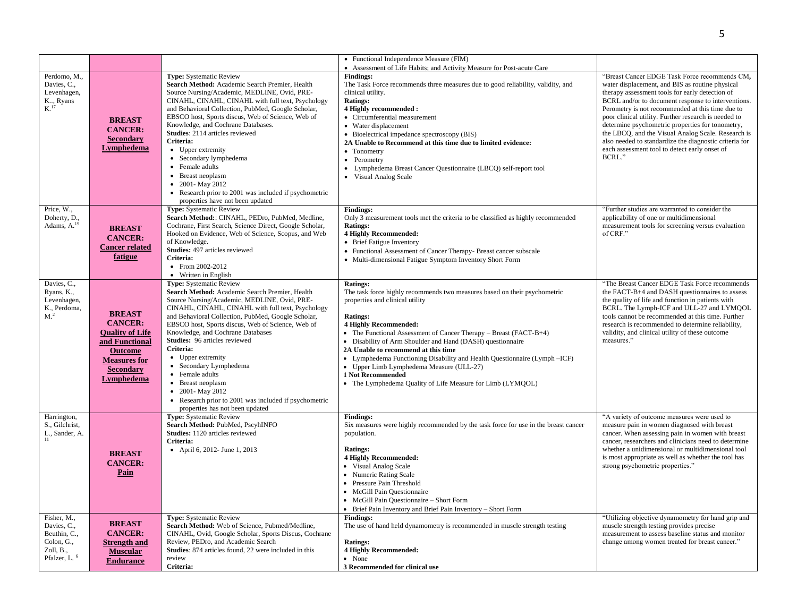|                                                                                                   |                                                                                                                                                               |                                                                                                                                                                                                                                                                                                                                                                                                                                                                                                                                                                                               | • Functional Independence Measure (FIM)                                                                                                                                                                                                                                                                                                                                                                                                                                                                                                                                   |                                                                                                                                                                                                                                                                                                                                                                                                                                                                                                                                                      |
|---------------------------------------------------------------------------------------------------|---------------------------------------------------------------------------------------------------------------------------------------------------------------|-----------------------------------------------------------------------------------------------------------------------------------------------------------------------------------------------------------------------------------------------------------------------------------------------------------------------------------------------------------------------------------------------------------------------------------------------------------------------------------------------------------------------------------------------------------------------------------------------|---------------------------------------------------------------------------------------------------------------------------------------------------------------------------------------------------------------------------------------------------------------------------------------------------------------------------------------------------------------------------------------------------------------------------------------------------------------------------------------------------------------------------------------------------------------------------|------------------------------------------------------------------------------------------------------------------------------------------------------------------------------------------------------------------------------------------------------------------------------------------------------------------------------------------------------------------------------------------------------------------------------------------------------------------------------------------------------------------------------------------------------|
| Perdomo, M.,<br>Davies, C.,<br>Levenhagen,<br>K, Ryans<br>K <sup>17</sup>                         | <b>BREAST</b><br><b>CANCER:</b><br><b>Secondary</b><br><b>Lymphedema</b>                                                                                      | <b>Type:</b> Systematic Review<br>Search Method: Academic Search Premier, Health<br>Source Nursing/Academic, MEDLINE, Ovid, PRE-<br>CINAHL, CINAHL, CINAHL with full text, Psychology<br>and Behavioral Collection, PubMed, Google Scholar,<br>EBSCO host, Sports discus, Web of Science, Web of<br>Knowledge, and Cochrane Databases.<br>Studies: 2114 articles reviewed<br>Criteria:<br>• Upper extremity<br>• Secondary lymphedema<br>• Female adults<br>• Breast neoplasm<br>• 2001-May 2012<br>• Research prior to 2001 was included if psychometric<br>properties have not been updated | • Assessment of Life Habits; and Activity Measure for Post-acute Care<br><b>Findings:</b><br>The Task Force recommends three measures due to good reliability, validity, and<br>clinical utility.<br><b>Ratings:</b><br>4 Highly recommended :<br>• Circumferential measurement<br>• Water displacement<br>• Bioelectrical impedance spectroscopy (BIS)<br>2A Unable to Recommend at this time due to limited evidence:<br>• Tonometry<br>• Perometry<br>• Lymphedema Breast Cancer Questionnaire (LBCQ) self-report tool<br>• Visual Analog Scale                        | "Breast Cancer EDGE Task Force recommends CM,<br>water displacement, and BIS as routine physical<br>therapy assessment tools for early detection of<br>BCRL and/or to document response to interventions.<br>Perometry is not recommended at this time due to<br>poor clinical utility. Further research is needed to<br>determine psychometric properties for tonometry,<br>the LBCQ, and the Visual Analog Scale. Research is<br>also needed to standardize the diagnostic criteria for<br>each assessment tool to detect early onset of<br>BCRL." |
| Price, W.,<br>Doherty, D.,<br>Adams, A. <sup>19</sup>                                             | <b>BREAST</b><br><b>CANCER:</b><br><b>Cancer related</b><br>fatigue                                                                                           | <b>Type:</b> Systematic Review<br>Search Method:: CINAHL, PEDro, PubMed, Medline,<br>Cochrane, First Search, Science Direct, Google Scholar,<br>Hooked on Evidence, Web of Science, Scopus, and Web<br>of Knowledge.<br>Studies: 497 articles reviewed<br>Criteria:<br>• From $2002 - 2012$<br>• Written in English                                                                                                                                                                                                                                                                           | <b>Findings:</b><br>Only 3 measurement tools met the criteria to be classified as highly recommended<br><b>Ratings:</b><br><b>4 Highly Recommended:</b><br>• Brief Fatigue Inventory<br>• Functional Assessment of Cancer Therapy- Breast cancer subscale<br>• Multi-dimensional Fatigue Symptom Inventory Short Form                                                                                                                                                                                                                                                     | "Further studies are warranted to consider the<br>applicability of one or multidimensional<br>measurement tools for screening versus evaluation<br>of CRF."                                                                                                                                                                                                                                                                                                                                                                                          |
| Davies, C.,<br>Ryans, K.,<br>Levenhagen,<br>K., Perdoma,<br>M <sup>2</sup>                        | <b>BREAST</b><br><b>CANCER:</b><br><b>Ouality of Life</b><br>and Functional<br><b>Outcome</b><br><b>Measures for</b><br><b>Secondary</b><br><b>Lymphedema</b> | Type: Systematic Review<br>Search Method: Academic Search Premier, Health<br>Source Nursing/Academic, MEDLINE, Ovid, PRE-<br>CINAHL, CINAHL, CINAHL with full text, Psychology<br>and Behavioral Collection, PubMed, Google Scholar,<br>EBSCO host, Sports discus, Web of Science, Web of<br>Knowledge, and Cochrane Databases<br>Studies: 96 articles reviewed<br>Criteria:<br>• Upper extremity<br>• Secondary Lymphedema<br>• Female adults<br>• Breast neoplasm<br>• 2001-May 2012<br>• Research prior to 2001 was included if psychometric<br>properties has not been updated            | <b>Ratings:</b><br>The task force highly recommends two measures based on their psychometric<br>properties and clinical utility<br><b>Ratings:</b><br><b>4 Highly Recommended:</b><br>• The Functional Assessment of Cancer Therapy – Breast (FACT-B+4)<br>• Disability of Arm Shoulder and Hand (DASH) questionnaire<br>2A Unable to recommend at this time<br>• Lymphedema Functioning Disability and Health Questionnaire (Lymph - ICF)<br>• Upper Limb Lymphedema Measure (ULL-27)<br>1 Not Recommended<br>• The Lymphedema Quality of Life Measure for Limb (LYMQOL) | "The Breast Cancer EDGE Task Force recommends<br>the FACT-B+4 and DASH questionnaires to assess<br>the quality of life and function in patients with<br>BCRL. The Lymph-ICF and ULL-27 and LYMQOL<br>tools cannot be recommended at this time. Further<br>research is recommended to determine reliability,<br>validity, and clinical utility of these outcome<br>measures."                                                                                                                                                                         |
| Harrington,<br>S., Gilchrist,<br>L., Sander, A.                                                   | <b>BREAST</b><br><b>CANCER:</b><br>Pain                                                                                                                       | Type: Systematic Review<br>Search Method: PubMed, PscyhINFO<br>Studies: 1120 articles reviewed<br>Criteria:<br>• April 6, 2012- June 1, 2013                                                                                                                                                                                                                                                                                                                                                                                                                                                  | <b>Findings:</b><br>Six measures were highly recommended by the task force for use in the breast cancer<br>population.<br><b>Ratings:</b><br><b>4 Highly Recommended:</b><br>• Visual Analog Scale<br>• Numeric Rating Scale<br>• Pressure Pain Threshold<br>• McGill Pain Questionnaire<br>• McGill Pain Questionnaire - Short Form<br>• Brief Pain Inventory and Brief Pain Inventory – Short Form                                                                                                                                                                      | "A variety of outcome measures were used to<br>measure pain in women diagnosed with breast<br>cancer. When assessing pain in women with breast<br>cancer, researchers and clinicians need to determine<br>whether a unidimensional or multidimensional tool<br>is most appropriate as well as whether the tool has<br>strong psychometric properties."                                                                                                                                                                                               |
| Fisher, M.,<br>Davies, C.,<br>Beuthin, C.,<br>Colon, G.,<br>Zoll, B.,<br>Pfalzer, L. <sup>6</sup> | <b>BREAST</b><br><b>CANCER:</b><br><b>Strength and</b><br><b>Muscular</b><br><b>Endurance</b>                                                                 | <b>Type:</b> Systematic Review<br>Search Method: Web of Science, Pubmed/Medline,<br>CINAHL, Ovid, Google Scholar, Sports Discus, Cochrane<br>Review, PEDro, and Academic Search<br>Studies: 874 articles found, 22 were included in this<br>review<br>Criteria:                                                                                                                                                                                                                                                                                                                               | <b>Findings:</b><br>The use of hand held dynamometry is recommended in muscle strength testing<br><b>Ratings:</b><br><b>4 Highly Recommended:</b><br>• None<br>3 Recommended for clinical use                                                                                                                                                                                                                                                                                                                                                                             | "Utilizing objective dynamometry for hand grip and<br>muscle strength testing provides precise<br>measurement to assess baseline status and monitor<br>change among women treated for breast cancer."                                                                                                                                                                                                                                                                                                                                                |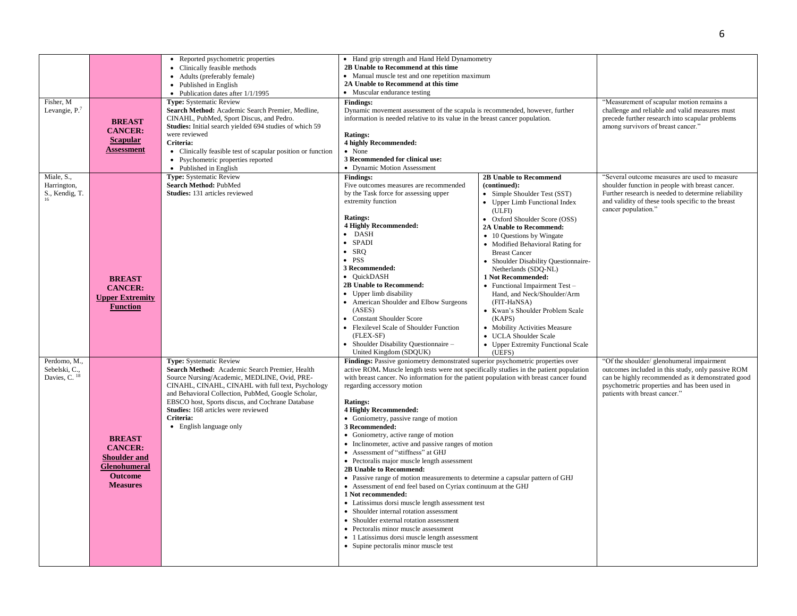| Fisher, M<br>Levangie, $P7$                    | <b>BREAST</b><br><b>CANCER:</b><br><b>Scapular</b><br>Assessment                                            | • Reported psychometric properties<br>• Clinically feasible methods<br>• Adults (preferably female)<br>• Published in English<br>• Publication dates after 1/1/1995<br><b>Type:</b> Systematic Review<br>Search Method: Academic Search Premier, Medline,<br>CINAHL, PubMed, Sport Discus, and Pedro.<br>Studies: Initial search yielded 694 studies of which 59<br>were reviewed<br>Criteria:<br>• Clinically feasible test of scapular position or function<br>• Psychometric properties reported<br>• Published in English | • Hand grip strength and Hand Held Dynamometry<br>2B Unable to Recommend at this time<br>• Manual muscle test and one repetition maximum<br>2A Unable to Recommend at this time<br>• Muscular endurance testing<br><b>Findings:</b><br>Dynamic movement assessment of the scapula is recommended, however, further<br>information is needed relative to its value in the breast cancer population.<br><b>Ratings:</b><br>4 highly Recommended:<br>• None<br>3 Recommended for clinical use:<br>• Dynamic Motion Assessment                                                                                                                                                                                                                                                                                                                                                                                                                                                                                                                                                          |                                                                                                                                                                                                                                                                                                                                                                                                                                                                                                                                                                                                                    | "Measurement of scapular motion remains a<br>challenge and reliable and valid measures must<br>precede further research into scapular problems<br>among survivors of breast cancer."                                                 |
|------------------------------------------------|-------------------------------------------------------------------------------------------------------------|-------------------------------------------------------------------------------------------------------------------------------------------------------------------------------------------------------------------------------------------------------------------------------------------------------------------------------------------------------------------------------------------------------------------------------------------------------------------------------------------------------------------------------|-------------------------------------------------------------------------------------------------------------------------------------------------------------------------------------------------------------------------------------------------------------------------------------------------------------------------------------------------------------------------------------------------------------------------------------------------------------------------------------------------------------------------------------------------------------------------------------------------------------------------------------------------------------------------------------------------------------------------------------------------------------------------------------------------------------------------------------------------------------------------------------------------------------------------------------------------------------------------------------------------------------------------------------------------------------------------------------|--------------------------------------------------------------------------------------------------------------------------------------------------------------------------------------------------------------------------------------------------------------------------------------------------------------------------------------------------------------------------------------------------------------------------------------------------------------------------------------------------------------------------------------------------------------------------------------------------------------------|--------------------------------------------------------------------------------------------------------------------------------------------------------------------------------------------------------------------------------------|
| Miale, S.,<br>Harrington,<br>S., Kendig, T.    | <b>BREAST</b><br><b>CANCER:</b><br><b>Upper Extremity</b><br><b>Function</b>                                | <b>Type:</b> Systematic Review<br>Search Method: PubMed<br><b>Studies:</b> 131 articles reviewed                                                                                                                                                                                                                                                                                                                                                                                                                              | <b>Findings:</b><br>Five outcomes measures are recommended<br>by the Task force for assessing upper<br>extremity function<br><b>Ratings:</b><br><b>4 Highly Recommended:</b><br>$\bullet$ DASH<br>$\bullet$ SPADI<br>$\bullet$ SRO<br>$\bullet$ PSS<br>3 Recommended:<br>• QuickDASH<br>2B Unable to Recommend:<br>• Upper limb disability<br>• American Shoulder and Elbow Surgeons<br>(ASES)<br>• Constant Shoulder Score<br>• Flexilevel Scale of Shoulder Function<br>(FLEX-SF)<br>• Shoulder Disability Questionnaire -<br>United Kingdom (SDQUK)                                                                                                                                                                                                                                                                                                                                                                                                                                                                                                                              | <b>2B Unable to Recommend</b><br>(continued):<br>• Simple Shoulder Test (SST)<br>• Upper Limb Functional Index<br>(ULFI)<br>• Oxford Shoulder Score (OSS)<br>2A Unable to Recommend:<br>• 10 Questions by Wingate<br>• Modified Behavioral Rating for<br><b>Breast Cancer</b><br>• Shoulder Disability Questionnaire-<br>Netherlands (SDQ-NL)<br>1 Not Recommended:<br>$\bullet$ Functional Impairment Test -<br>Hand, and Neck/Shoulder/Arm<br>(FIT-HaNSA)<br>• Kwan's Shoulder Problem Scale<br>(KAPS)<br>• Mobility Activities Measure<br>• UCLA Shoulder Scale<br>• Upper Extremity Functional Scale<br>(UEFS) | "Several outcome measures are used to measure<br>shoulder function in people with breast cancer.<br>Further research is needed to determine reliability<br>and validity of these tools specific to the breast<br>cancer population." |
| Perdomo, M.,<br>Sebelski, C.,<br>Davies, C. 18 | <b>BREAST</b><br><b>CANCER:</b><br><b>Shoulder and</b><br>Glenohumeral<br><b>Outcome</b><br><b>Measures</b> | <b>Type:</b> Systematic Review<br>Search Method: Academic Search Premier, Health<br>Source Nursing/Academic, MEDLINE, Ovid, PRE-<br>CINAHL, CINAHL, CINAHL with full text, Psychology<br>and Behavioral Collection, PubMed, Google Scholar,<br>EBSCO host, Sports discus, and Cochrane Database<br>Studies: 168 articles were reviewed<br>Criteria:<br>• English language only                                                                                                                                                | Findings: Passive goniometry demonstrated superior psychometric properties over<br>active ROM. Muscle length tests were not specifically studies in the patient population<br>with breast cancer. No information for the patient population with breast cancer found<br>regarding accessory motion<br><b>Ratings:</b><br><b>4 Highly Recommended:</b><br>• Goniometry, passive range of motion<br>3 Recommended:<br>• Goniometry, active range of motion<br>• Inclinemeter, active and passive ranges of motion<br>• Assessment of "stiffness" at GHJ<br>• Pectoralis major muscle length assessment<br>2B Unable to Recommend:<br>• Passive range of motion measurements to determine a capsular pattern of GHJ<br>• Assessment of end feel based on Cyriax continuum at the GHJ<br>1 Not recommended:<br>• Latissimus dorsi muscle length assessment test<br>• Shoulder internal rotation assessment<br>• Shoulder external rotation assessment<br>• Pectoralis minor muscle assessment<br>• 1 Latissimus dorsi muscle length assessment<br>• Supine pectoralis minor muscle test |                                                                                                                                                                                                                                                                                                                                                                                                                                                                                                                                                                                                                    | "Of the shoulder/ glenohumeral impairment<br>outcomes included in this study, only passive ROM<br>can be highly recommended as it demonstrated good<br>psychometric properties and has been used in<br>patients with breast cancer." |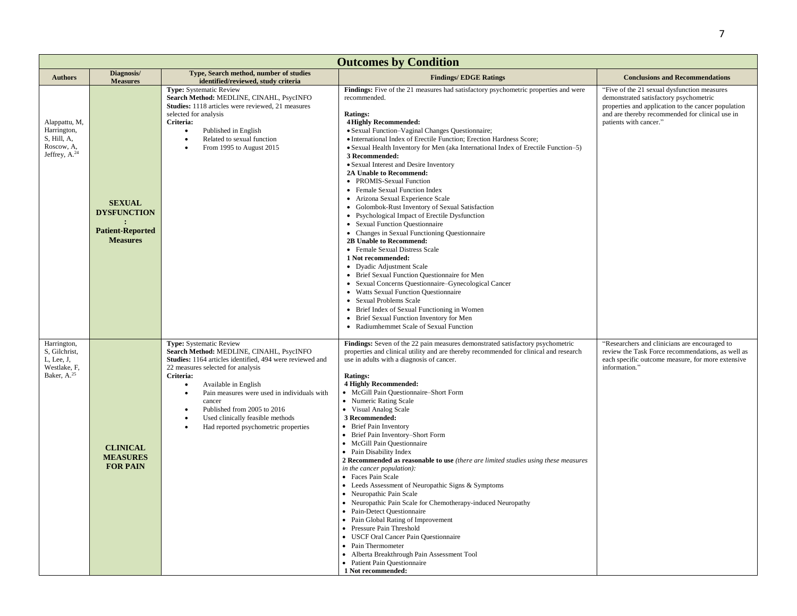|                                                                                       | <b>Outcomes by Condition</b>                                                      |                                                                                                                                                                                                                                                                                                                                                                                            |                                                                                                                                                                                                                                                                                                                                                                                                                                                                                                                                                                                                                                                                                                                                                                                                                                                                                                                                                                                                                                                                                                                                                                                                   |                                                                                                                                                                                                                           |  |  |
|---------------------------------------------------------------------------------------|-----------------------------------------------------------------------------------|--------------------------------------------------------------------------------------------------------------------------------------------------------------------------------------------------------------------------------------------------------------------------------------------------------------------------------------------------------------------------------------------|---------------------------------------------------------------------------------------------------------------------------------------------------------------------------------------------------------------------------------------------------------------------------------------------------------------------------------------------------------------------------------------------------------------------------------------------------------------------------------------------------------------------------------------------------------------------------------------------------------------------------------------------------------------------------------------------------------------------------------------------------------------------------------------------------------------------------------------------------------------------------------------------------------------------------------------------------------------------------------------------------------------------------------------------------------------------------------------------------------------------------------------------------------------------------------------------------|---------------------------------------------------------------------------------------------------------------------------------------------------------------------------------------------------------------------------|--|--|
| <b>Authors</b>                                                                        | Diagnosis/<br><b>Measures</b>                                                     | Type, Search method, number of studies<br>identified/reviewed, study criteria                                                                                                                                                                                                                                                                                                              | <b>Findings/EDGE Ratings</b>                                                                                                                                                                                                                                                                                                                                                                                                                                                                                                                                                                                                                                                                                                                                                                                                                                                                                                                                                                                                                                                                                                                                                                      | <b>Conclusions and Recommendations</b>                                                                                                                                                                                    |  |  |
| Alappattu, M,<br>Harrington,<br>S, Hill, A,<br>Roscow, A,<br>Jeffrey, $A^{24}$        | <b>SEXUAL</b><br><b>DYSFUNCTION</b><br><b>Patient-Reported</b><br><b>Measures</b> | Type: Systematic Review<br>Search Method: MEDLINE, CINAHL, PsycINFO<br>Studies: 1118 articles were reviewed, 21 measures<br>selected for analysis<br>Criteria:<br>Published in English<br>$\bullet$<br>Related to sexual function<br>From 1995 to August 2015                                                                                                                              | Findings: Five of the 21 measures had satisfactory psychometric properties and were<br>recommended.<br><b>Ratings:</b><br><b>4 Highly Recommended:</b><br>· Sexual Function-Vaginal Changes Questionnaire;<br>· International Index of Erectile Function; Erection Hardness Score;<br>• Sexual Health Inventory for Men (aka International Index of Erectile Function-5)<br>3 Recommended:<br>• Sexual Interest and Desire Inventory<br>2A Unable to Recommend:<br>• PROMIS-Sexual Function<br>• Female Sexual Function Index<br>• Arizona Sexual Experience Scale<br>• Golombok-Rust Inventory of Sexual Satisfaction<br>• Psychological Impact of Erectile Dysfunction<br>• Sexual Function Questionnaire<br>• Changes in Sexual Functioning Questionnaire<br>2B Unable to Recommend:<br>• Female Sexual Distress Scale<br>1 Not recommended:<br>• Dyadic Adjustment Scale<br>• Brief Sexual Function Questionnaire for Men<br>• Sexual Concerns Questionnaire–Gynecological Cancer<br>• Watts Sexual Function Questionnaire<br>• Sexual Problems Scale<br>• Brief Index of Sexual Functioning in Women<br>• Brief Sexual Function Inventory for Men<br>• Radiumhemmet Scale of Sexual Function | "Five of the 21 sexual dysfunction measures<br>demonstrated satisfactory psychometric<br>properties and application to the cancer population<br>and are thereby recommended for clinical use in<br>patients with cancer." |  |  |
| Harrington,<br>S, Gilchrist,<br>L, Lee, J,<br>Westlake, F,<br>Baker, A. <sup>25</sup> | <b>CLINICAL</b><br><b>MEASURES</b><br><b>FOR PAIN</b>                             | Type: Systematic Review<br>Search Method: MEDLINE, CINAHL, PsycINFO<br>Studies: 1164 articles identified, 494 were reviewed and<br>22 measures selected for analysis<br>Criteria:<br>Available in English<br>$\bullet$<br>Pain measures were used in individuals with<br>cancer<br>Published from 2005 to 2016<br>Used clinically feasible methods<br>Had reported psychometric properties | Findings: Seven of the 22 pain measures demonstrated satisfactory psychometric<br>properties and clinical utility and are thereby recommended for clinical and research<br>use in adults with a diagnosis of cancer.<br><b>Ratings:</b><br><b>4 Highly Recommended:</b><br>• McGill Pain Questionnaire-Short Form<br>• Numeric Rating Scale<br>• Visual Analog Scale<br>3 Recommended:<br>• Brief Pain Inventory<br>• Brief Pain Inventory-Short Form<br>• McGill Pain Questionnaire<br>• Pain Disability Index<br>2 Recommended as reasonable to use (there are limited studies using these measures<br>in the cancer population):<br>• Faces Pain Scale<br>• Leeds Assessment of Neuropathic Signs & Symptoms<br>• Neuropathic Pain Scale<br>• Neuropathic Pain Scale for Chemotherapy-induced Neuropathy<br>• Pain-Detect Ouestionnaire<br>• Pain Global Rating of Improvement<br>• Pressure Pain Threshold<br>• USCF Oral Cancer Pain Questionnaire<br>• Pain Thermometer<br>• Alberta Breakthrough Pain Assessment Tool<br>• Patient Pain Questionnaire<br>1 Not recommended:                                                                                                                | "Researchers and clinicians are encouraged to<br>review the Task Force recommendations, as well as<br>each specific outcome measure, for more extensive<br>information."                                                  |  |  |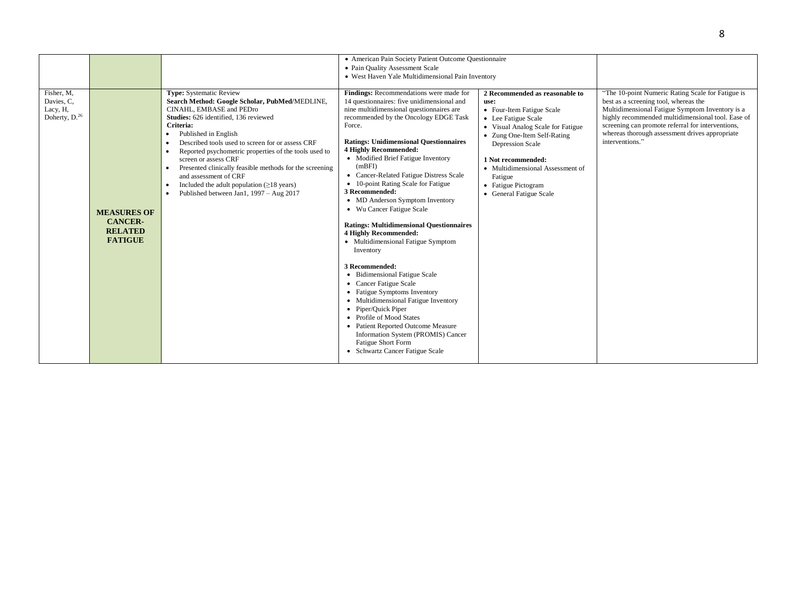|                                                                   |                                                                          |                                                                                                                                                                                                                                                                                                                                                                                                                                                                                                            | • American Pain Society Patient Outcome Questionnaire<br>• Pain Quality Assessment Scale<br>• West Haven Yale Multidimensional Pain Inventory                                                                                                                                                                                                                                                                                                                                                                                                                                                                                                                                                                                                                                                                                                                                                                                                                                       |                                                                                                                                                                                                                                                                                                           |                                                                                                                                                                                                                                                                                                                              |
|-------------------------------------------------------------------|--------------------------------------------------------------------------|------------------------------------------------------------------------------------------------------------------------------------------------------------------------------------------------------------------------------------------------------------------------------------------------------------------------------------------------------------------------------------------------------------------------------------------------------------------------------------------------------------|-------------------------------------------------------------------------------------------------------------------------------------------------------------------------------------------------------------------------------------------------------------------------------------------------------------------------------------------------------------------------------------------------------------------------------------------------------------------------------------------------------------------------------------------------------------------------------------------------------------------------------------------------------------------------------------------------------------------------------------------------------------------------------------------------------------------------------------------------------------------------------------------------------------------------------------------------------------------------------------|-----------------------------------------------------------------------------------------------------------------------------------------------------------------------------------------------------------------------------------------------------------------------------------------------------------|------------------------------------------------------------------------------------------------------------------------------------------------------------------------------------------------------------------------------------------------------------------------------------------------------------------------------|
| Fisher, M,<br>Davies, C.<br>Lacy, H,<br>Doherty, D. <sup>26</sup> | <b>MEASURES OF</b><br><b>CANCER-</b><br><b>RELATED</b><br><b>FATIGUE</b> | Type: Systematic Review<br>Search Method: Google Scholar, PubMed/MEDLINE,<br>CINAHL, EMBASE and PEDro<br>Studies: 626 identified, 136 reviewed<br>Criteria:<br>Published in English<br>Described tools used to screen for or assess CRF<br>Reported psychometric properties of the tools used to<br>screen or assess CRF<br>Presented clinically feasible methods for the screening<br>and assessment of CRF<br>Included the adult population $(\geq 18$ years)<br>Published between Jan1, 1997 - Aug 2017 | Findings: Recommendations were made for<br>14 questionnaires: five unidimensional and<br>nine multidimensional questionnaires are<br>recommended by the Oncology EDGE Task<br>Force.<br><b>Ratings: Unidimensional Questionnaires</b><br><b>4 Highly Recommended:</b><br>• Modified Brief Fatigue Inventory<br>(mBFI)<br>• Cancer-Related Fatigue Distress Scale<br>• 10-point Rating Scale for Fatigue<br>3 Recommended:<br>• MD Anderson Symptom Inventory<br>• Wu Cancer Fatigue Scale<br><b>Ratings: Multidimensional Questionnaires</b><br><b>4 Highly Recommended:</b><br>• Multidimensional Fatigue Symptom<br>Inventory<br>3 Recommended:<br>• Bidimensional Fatigue Scale<br>• Cancer Fatigue Scale<br>• Fatigue Symptoms Inventory<br>• Multidimensional Fatigue Inventory<br>• Piper/Quick Piper<br>• Profile of Mood States<br>• Patient Reported Outcome Measure<br>Information System (PROMIS) Cancer<br><b>Fatigue Short Form</b><br>• Schwartz Cancer Fatigue Scale | 2 Recommended as reasonable to<br>use:<br>• Four-Item Fatigue Scale<br>• Lee Fatigue Scale<br>• Visual Analog Scale for Fatigue<br>• Zung One-Item Self-Rating<br>Depression Scale<br>1 Not recommended:<br>• Multidimensional Assessment of<br>Fatigue<br>• Fatigue Pictogram<br>• General Fatigue Scale | "The 10-point Numeric Rating Scale for Fatigue is<br>best as a screening tool, whereas the<br>Multidimensional Fatigue Symptom Inventory is a<br>highly recommended multidimensional tool. Ease of<br>screening can promote referral for interventions,<br>whereas thorough assessment drives appropriate<br>interventions." |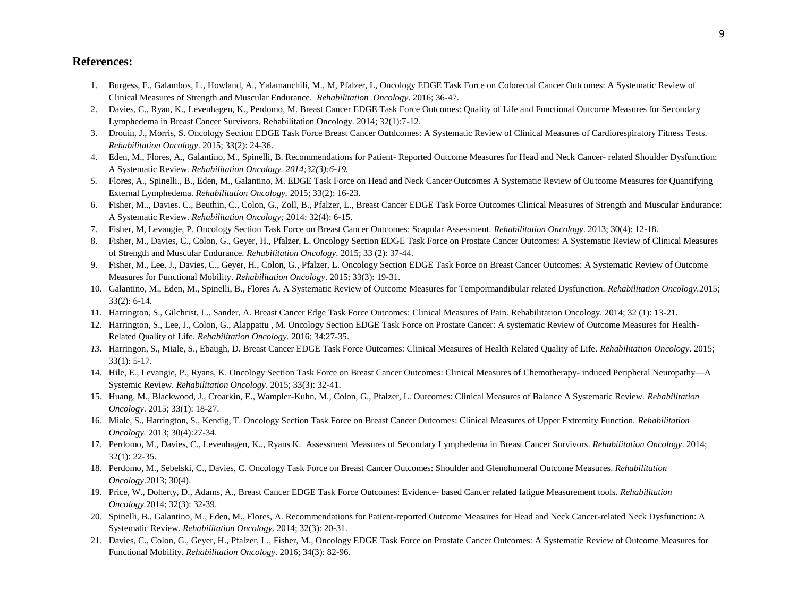## **References:**

- 1. Burgess, F., Galambos, L., Howland, A., Yalamanchili, M., M, Pfalzer, L, Oncology EDGE Task Force on Colorectal Cancer Outcomes: A Systematic Review of Clinical Measures of Strength and Muscular Endurance. *Rehabilitation Oncology*. 2016; 36-47.
- 2. Davies, C., Ryan, K., Levenhagen, K., Perdomo, M. Breast Cancer EDGE Task Force Outcomes: Quality of Life and Functional Outcome Measures for Secondary Lymphedema in Breast Cancer Survivors. Rehabilitation Oncology. 2014; 32(1):7-12.
- 3. Drouin, J., Morris, S. Oncology Section EDGE Task Force Breast Cancer Outdcomes: A Systematic Review of Clinical Measures of Cardiorespiratory Fitness Tests. *Rehabilitation Oncology*. 2015; 33(2): 24-36.
- 4. Eden, M., Flores, A., Galantino, M., Spinelli, B. Recommendations for Patient- Reported Outcome Measures for Head and Neck Cancer- related Shoulder Dysfunction: A Systematic Review. *Rehabilitation Oncology. 2014;32(3):6-19.*
- *5.* Flores, A., Spinelli., B., Eden, M., Galantino, M. EDGE Task Force on Head and Neck Cancer Outcomes A Systematic Review of Outcome Measures for Quantifying External Lymphedema. *Rehabilitation Oncology.* 2015; 33(2): 16-23.
- 6. Fisher, M.., Davies. C., Beuthin, C., Colon, G., Zoll, B., Pfalzer, L., Breast Cancer EDGE Task Force Outcomes Clinical Measures of Strength and Muscular Endurance: A Systematic Review. *Rehabilitation Oncology;* 2014: 32(4): 6-15.
- 7. Fisher, M, Levangie, P. Oncology Section Task Force on Breast Cancer Outcomes: Scapular Assessment. *Rehabilitation Oncology*. 2013; 30(4): 12-18.
- 8. Fisher, M., Davies, C., Colon, G., Geyer, H., Pfalzer, L. Oncology Section EDGE Task Force on Prostate Cancer Outcomes: A Systematic Review of Clinical Measures of Strength and Muscular Endurance. *Rehabilitation Oncology*. 2015; 33 (2): 37-44.
- 9. Fisher, M., Lee, J., Davies, C., Geyer, H., Colon, G., Pfalzer, L. Oncology Section EDGE Task Force on Breast Cancer Outcomes: A Systematic Review of Outcome Measures for Functional Mobility. *Rehabilitation Oncology*. 2015; 33(3): 19-31.
- 10. Galantino, M., Eden, M., Spinelli, B., Flores A. A Systematic Review of Outcome Measures for Tempormandibular related Dysfunction. *Rehabilitation Oncology.*2015; 33(2): 6-14.
- 11. Harrington, S., Gilchrist, L., Sander, A. Breast Cancer Edge Task Force Outcomes: Clinical Measures of Pain. Rehabilitation Oncology. 2014; 32 (1): 13-21.
- 12. Harrington, S., Lee, J., Colon, G., Alappattu , M. Oncology Section EDGE Task Force on Prostate Cancer: A systematic Review of Outcome Measures for Health-Related Quality of Life. *Rehabilitation Oncology.* 2016; 34:27-35.
- *13.* Harringon, S., Miale, S., Ebaugh, D. Breast Cancer EDGE Task Force Outcomes: Clinical Measures of Health Related Quality of Life. *Rehabilitation Oncology*. 2015; 33(1): 5-17.
- 14. Hile, E., Levangie, P., Ryans, K. Oncology Section Task Force on Breast Cancer Outcomes: Clinical Measures of Chemotherapy- induced Peripheral Neuropathy—A Systemic Review. *Rehabilitation Oncology*. 2015; 33(3): 32-41.
- 15. Huang, M., Blackwood, J., Croarkin, E., Wampler-Kuhn, M., Colon, G., Pfalzer, L. Outcomes: Clinical Measures of Balance A Systematic Review. *Rehabilitation Oncology*. 2015; 33(1): 18-27.
- 16. Miale, S., Harrington, S., Kendig, T. Oncology Section Task Force on Breast Cancer Outcomes: Clinical Measures of Upper Extremity Function. *Rehabilitation Oncology.* 2013; 30(4):27-34.
- 17. Perdomo, M., Davies, C., Levenhagen, K.., Ryans K. Assessment Measures of Secondary Lymphedema in Breast Cancer Survivors. *Rehabilitation Oncology*. 2014; 32(1): 22-35.
- 18. Perdomo, M., Sebelski, C., Davies, C. Oncology Task Force on Breast Cancer Outcomes: Shoulder and Glenohumeral Outcome Measures. *Rehabilitation Oncology*.2013; 30(4).
- 19. Price, W., Doherty, D., Adams, A., Breast Cancer EDGE Task Force Outcomes: Evidence- based Cancer related fatigue Measurement tools. *Rehabilitation Oncology.*2014; 32(3): 32-39.
- 20. Spinelli, B., Galantino, M., Eden, M., Flores, A. Recommendations for Patient-reported Outcome Measures for Head and Neck Cancer-related Neck Dysfunction: A Systematic Review. *Rehabilitation Oncology.* 2014; 32(3): 20-31.
- 21. Davies, C., Colon, G., Geyer, H., Pfalzer, L., Fisher, M., Oncology EDGE Task Force on Prostate Cancer Outcomes: A Systematic Review of Outcome Measures for Functional Mobility. *Rehabilitation Oncology*. 2016; 34(3): 82-96.